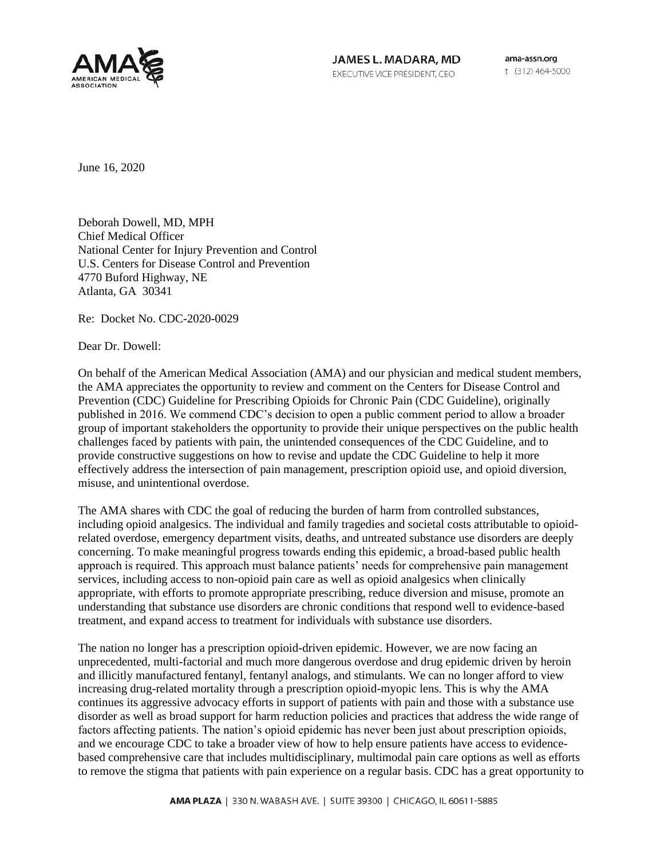

JAMES L. MADARA, MD EXECUTIVE VICE PRESIDENT, CEO

ama-assn.org t (312) 464-5000

June 16, 2020

Deborah Dowell, MD, MPH Chief Medical Officer National Center for Injury Prevention and Control U.S. Centers for Disease Control and Prevention 4770 Buford Highway, NE Atlanta, GA 30341

Re: Docket No. CDC-2020-0029

Dear Dr. Dowell:

On behalf of the American Medical Association (AMA) and our physician and medical student members, the AMA appreciates the opportunity to review and comment on the Centers for Disease Control and Prevention (CDC) Guideline for Prescribing Opioids for Chronic Pain (CDC Guideline), originally published in 2016. We commend CDC's decision to open a public comment period to allow a broader group of important stakeholders the opportunity to provide their unique perspectives on the public health challenges faced by patients with pain, the unintended consequences of the CDC Guideline, and to provide constructive suggestions on how to revise and update the CDC Guideline to help it more effectively address the intersection of pain management, prescription opioid use, and opioid diversion, misuse, and unintentional overdose.

The AMA shares with CDC the goal of reducing the burden of harm from controlled substances, including opioid analgesics. The individual and family tragedies and societal costs attributable to opioidrelated overdose, emergency department visits, deaths, and untreated substance use disorders are deeply concerning. To make meaningful progress towards ending this epidemic, a broad-based public health approach is required. This approach must balance patients' needs for comprehensive pain management services, including access to non-opioid pain care as well as opioid analgesics when clinically appropriate, with efforts to promote appropriate prescribing, reduce diversion and misuse, promote an understanding that substance use disorders are chronic conditions that respond well to evidence-based treatment, and expand access to treatment for individuals with substance use disorders.

The nation no longer has a prescription opioid-driven epidemic. However, we are now facing an unprecedented, multi-factorial and much more dangerous overdose and drug epidemic driven by heroin and illicitly manufactured fentanyl, fentanyl analogs, and stimulants. We can no longer afford to view increasing drug-related mortality through a prescription opioid-myopic lens. This is why the AMA continues its aggressive advocacy efforts in support of patients with pain and those with a substance use disorder as well as broad support for harm reduction policies and practices that address the wide range of factors affecting patients. The nation's opioid epidemic has never been just about prescription opioids, and we encourage CDC to take a broader view of how to help ensure patients have access to evidencebased comprehensive care that includes multidisciplinary, multimodal pain care options as well as efforts to remove the stigma that patients with pain experience on a regular basis. CDC has a great opportunity to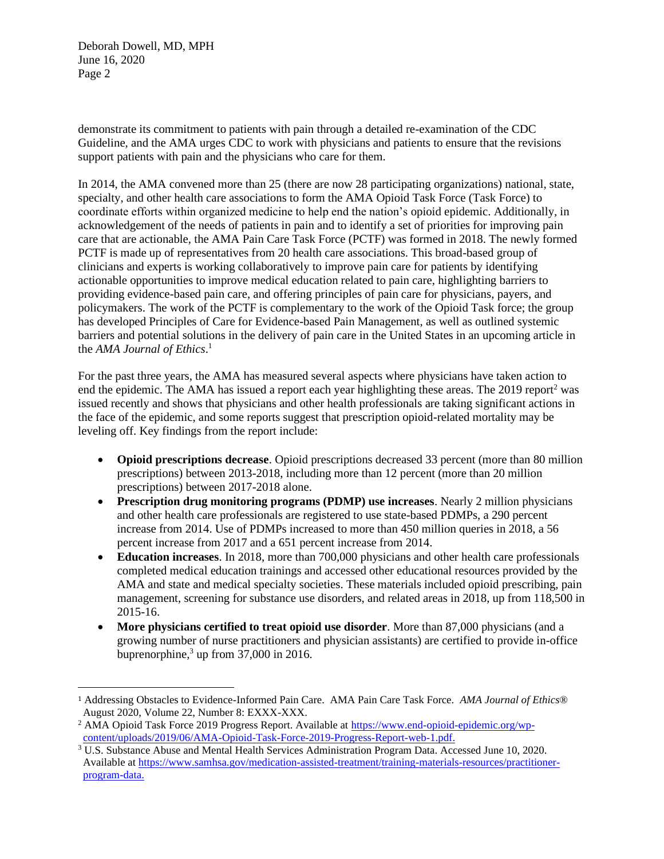demonstrate its commitment to patients with pain through a detailed re-examination of the CDC Guideline, and the AMA urges CDC to work with physicians and patients to ensure that the revisions support patients with pain and the physicians who care for them.

In 2014, the AMA convened more than 25 (there are now 28 participating organizations) national, state, specialty, and other health care associations to form the AMA Opioid Task Force (Task Force) to coordinate efforts within organized medicine to help end the nation's opioid epidemic. Additionally, in acknowledgement of the needs of patients in pain and to identify a set of priorities for improving pain care that are actionable, the AMA Pain Care Task Force (PCTF) was formed in 2018. The newly formed PCTF is made up of representatives from 20 health care associations. This broad-based group of clinicians and experts is working collaboratively to improve pain care for patients by identifying actionable opportunities to improve medical education related to pain care, highlighting barriers to providing evidence-based pain care, and offering principles of pain care for physicians, payers, and policymakers. The work of the PCTF is complementary to the work of the Opioid Task force; the group has developed Principles of Care for Evidence-based Pain Management, as well as outlined systemic barriers and potential solutions in the delivery of pain care in the United States in an upcoming article in the *AMA Journal of Ethics*. 1

For the past three years, the AMA has measured several aspects where physicians have taken action to end the epidemic. The AMA has issued a report each year highlighting these areas. The 2019 report<sup>2</sup> was issued recently and shows that physicians and other health professionals are taking significant actions in the face of the epidemic, and some reports suggest that prescription opioid-related mortality may be leveling off. Key findings from the report include:

- **Opioid prescriptions decrease**. Opioid prescriptions decreased 33 percent (more than 80 million prescriptions) between 2013-2018, including more than 12 percent (more than 20 million prescriptions) between 2017-2018 alone.
- **Prescription drug monitoring programs (PDMP) use increases**. Nearly 2 million physicians and other health care professionals are registered to use state-based PDMPs, a 290 percent increase from 2014. Use of PDMPs increased to more than 450 million queries in 2018, a 56 percent increase from 2017 and a 651 percent increase from 2014.
- **Education increases**. In 2018, more than 700,000 physicians and other health care professionals completed medical education trainings and accessed other educational resources provided by the AMA and state and medical specialty societies. These materials included opioid prescribing, pain management, screening for substance use disorders, and related areas in 2018, up from 118,500 in 2015-16.
- **More physicians certified to treat opioid use disorder**. More than 87,000 physicians (and a growing number of nurse practitioners and physician assistants) are certified to provide in-office buprenorphine, $3$  up from 37,000 in 2016.

<sup>1</sup> Addressing Obstacles to Evidence-Informed Pain Care. AMA Pain Care Task Force. *AMA Journal of Ethics*® August 2020, Volume 22, Number 8: EXXX-XXX.

<sup>&</sup>lt;sup>2</sup> AMA Opioid Task Force 2019 Progress Report. Available at [https://www.end-opioid-epidemic.org/wp](https://www.end-opioid-epidemic.org/wp-content/uploads/2019/06/AMA-Opioid-Task-Force-2019-Progress-Report-web-1.pdf)[content/uploads/2019/06/AMA-Opioid-Task-Force-2019-Progress-Report-web-1.pdf.](https://www.end-opioid-epidemic.org/wp-content/uploads/2019/06/AMA-Opioid-Task-Force-2019-Progress-Report-web-1.pdf)

<sup>3</sup> U.S. Substance Abuse and Mental Health Services Administration Program Data. Accessed June 10, 2020. Available a[t https://www.samhsa.gov/medication-assisted-treatment/training-materials-resources/practitioner](https://www.samhsa.gov/medication-assisted-treatment/training-materials-resources/practitioner-program-data)[program-data.](https://www.samhsa.gov/medication-assisted-treatment/training-materials-resources/practitioner-program-data)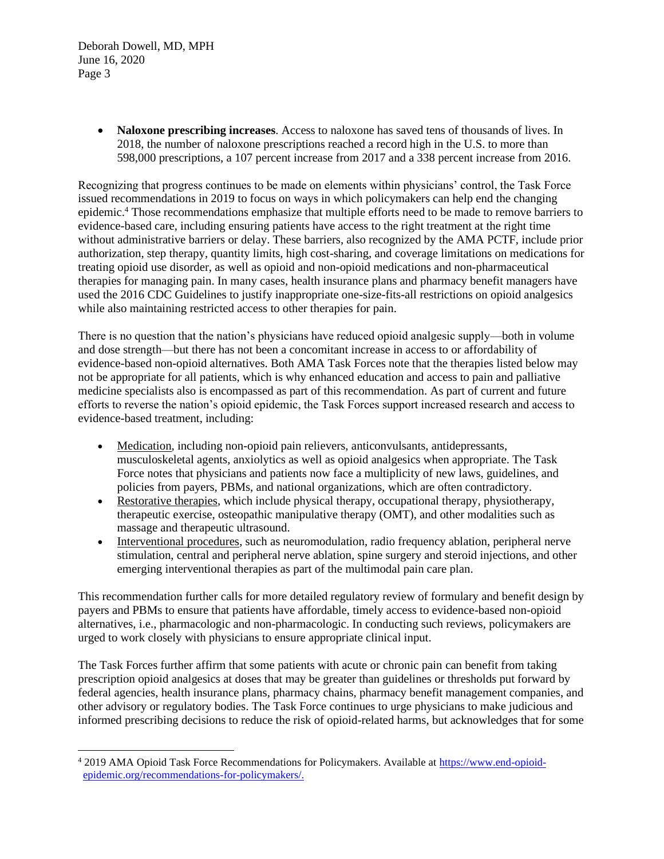> • **Naloxone prescribing increases**. Access to naloxone has saved tens of thousands of lives. In 2018, the number of naloxone prescriptions reached a record high in the U.S. to more than 598,000 prescriptions, a 107 percent increase from 2017 and a 338 percent increase from 2016.

Recognizing that progress continues to be made on elements within physicians' control, the Task Force issued recommendations in 2019 to focus on ways in which policymakers can help end the changing epidemic.<sup>4</sup> Those recommendations emphasize that multiple efforts need to be made to remove barriers to evidence-based care, including ensuring patients have access to the right treatment at the right time without administrative barriers or delay. These barriers, also recognized by the AMA PCTF, include prior authorization, step therapy, quantity limits, high cost-sharing, and coverage limitations on medications for treating opioid use disorder, as well as opioid and non-opioid medications and non-pharmaceutical therapies for managing pain. In many cases, health insurance plans and pharmacy benefit managers have used the 2016 CDC Guidelines to justify inappropriate one-size-fits-all restrictions on opioid analgesics while also maintaining restricted access to other therapies for pain.

There is no question that the nation's physicians have reduced opioid analgesic supply—both in volume and dose strength—but there has not been a concomitant increase in access to or affordability of evidence-based non-opioid alternatives. Both AMA Task Forces note that the therapies listed below may not be appropriate for all patients, which is why enhanced education and access to pain and palliative medicine specialists also is encompassed as part of this recommendation. As part of current and future efforts to reverse the nation's opioid epidemic, the Task Forces support increased research and access to evidence-based treatment, including:

- Medication, including non-opioid pain relievers, anticonvulsants, antidepressants, musculoskeletal agents, anxiolytics as well as opioid analgesics when appropriate. The Task Force notes that physicians and patients now face a multiplicity of new laws, guidelines, and policies from payers, PBMs, and national organizations, which are often contradictory.
- Restorative therapies, which include physical therapy, occupational therapy, physiotherapy, therapeutic exercise, osteopathic manipulative therapy (OMT), and other modalities such as massage and therapeutic ultrasound.
- Interventional procedures, such as neuromodulation, radio frequency ablation, peripheral nerve stimulation, central and peripheral nerve ablation, spine surgery and steroid injections, and other emerging interventional therapies as part of the multimodal pain care plan.

This recommendation further calls for more detailed regulatory review of formulary and benefit design by payers and PBMs to ensure that patients have affordable, timely access to evidence-based non-opioid alternatives, i.e., pharmacologic and non-pharmacologic. In conducting such reviews, policymakers are urged to work closely with physicians to ensure appropriate clinical input.

The Task Forces further affirm that some patients with acute or chronic pain can benefit from taking prescription opioid analgesics at doses that may be greater than guidelines or thresholds put forward by federal agencies, health insurance plans, pharmacy chains, pharmacy benefit management companies, and other advisory or regulatory bodies. The Task Force continues to urge physicians to make judicious and informed prescribing decisions to reduce the risk of opioid-related harms, but acknowledges that for some

<sup>4</sup> 2019 AMA Opioid Task Force Recommendations for Policymakers. Available at [https://www.end-opioid](https://www.end-opioid-epidemic.org/recommendations-for-policymakers/)[epidemic.org/recommendations-for-policymakers/.](https://www.end-opioid-epidemic.org/recommendations-for-policymakers/)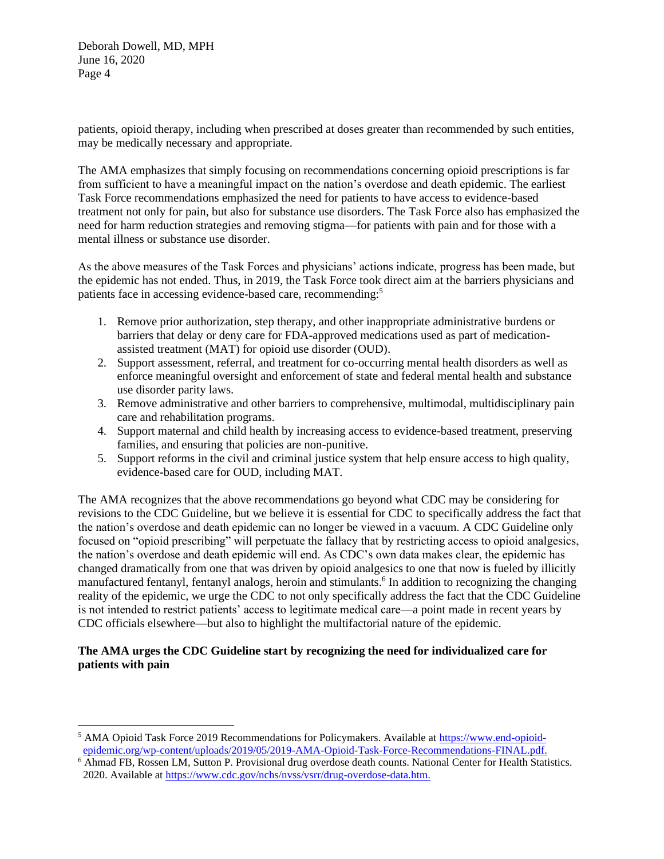patients, opioid therapy, including when prescribed at doses greater than recommended by such entities, may be medically necessary and appropriate.

The AMA emphasizes that simply focusing on recommendations concerning opioid prescriptions is far from sufficient to have a meaningful impact on the nation's overdose and death epidemic. The earliest Task Force recommendations emphasized the need for patients to have access to evidence-based treatment not only for pain, but also for substance use disorders. The Task Force also has emphasized the need for harm reduction strategies and removing stigma—for patients with pain and for those with a mental illness or substance use disorder.

As the above measures of the Task Forces and physicians' actions indicate, progress has been made, but the epidemic has not ended. Thus, in 2019, the Task Force took direct aim at the barriers physicians and patients face in accessing evidence-based care, recommending:<sup>5</sup>

- 1. Remove prior authorization, step therapy, and other inappropriate administrative burdens or barriers that delay or deny care for FDA-approved medications used as part of medicationassisted treatment (MAT) for opioid use disorder (OUD).
- 2. Support assessment, referral, and treatment for co-occurring mental health disorders as well as enforce meaningful oversight and enforcement of state and federal mental health and substance use disorder parity laws.
- 3. Remove administrative and other barriers to comprehensive, multimodal, multidisciplinary pain care and rehabilitation programs.
- 4. Support maternal and child health by increasing access to evidence-based treatment, preserving families, and ensuring that policies are non-punitive.
- 5. Support reforms in the civil and criminal justice system that help ensure access to high quality, evidence-based care for OUD, including MAT.

The AMA recognizes that the above recommendations go beyond what CDC may be considering for revisions to the CDC Guideline, but we believe it is essential for CDC to specifically address the fact that the nation's overdose and death epidemic can no longer be viewed in a vacuum. A CDC Guideline only focused on "opioid prescribing" will perpetuate the fallacy that by restricting access to opioid analgesics, the nation's overdose and death epidemic will end. As CDC's own data makes clear, the epidemic has changed dramatically from one that was driven by opioid analgesics to one that now is fueled by illicitly manufactured fentanyl, fentanyl analogs, heroin and stimulants.<sup>6</sup> In addition to recognizing the changing reality of the epidemic, we urge the CDC to not only specifically address the fact that the CDC Guideline is not intended to restrict patients' access to legitimate medical care—a point made in recent years by CDC officials elsewhere—but also to highlight the multifactorial nature of the epidemic.

# **The AMA urges the CDC Guideline start by recognizing the need for individualized care for patients with pain**

<sup>5</sup> AMA Opioid Task Force 2019 Recommendations for Policymakers. Available at [https://www.end-opioid](https://www.end-opioid-epidemic.org/wp-content/uploads/2019/05/2019-AMA-Opioid-Task-Force-Recommendations-FINAL.pdf)[epidemic.org/wp-content/uploads/2019/05/2019-AMA-Opioid-Task-Force-Recommendations-FINAL.pdf.](https://www.end-opioid-epidemic.org/wp-content/uploads/2019/05/2019-AMA-Opioid-Task-Force-Recommendations-FINAL.pdf)

<sup>6</sup> Ahmad FB, Rossen LM, Sutton P. Provisional drug overdose death counts. National Center for Health Statistics. 2020. Available a[t https://www.cdc.gov/nchs/nvss/vsrr/drug-overdose-data.htm.](https://www.cdc.gov/nchs/nvss/vsrr/drug-overdose-data.htm)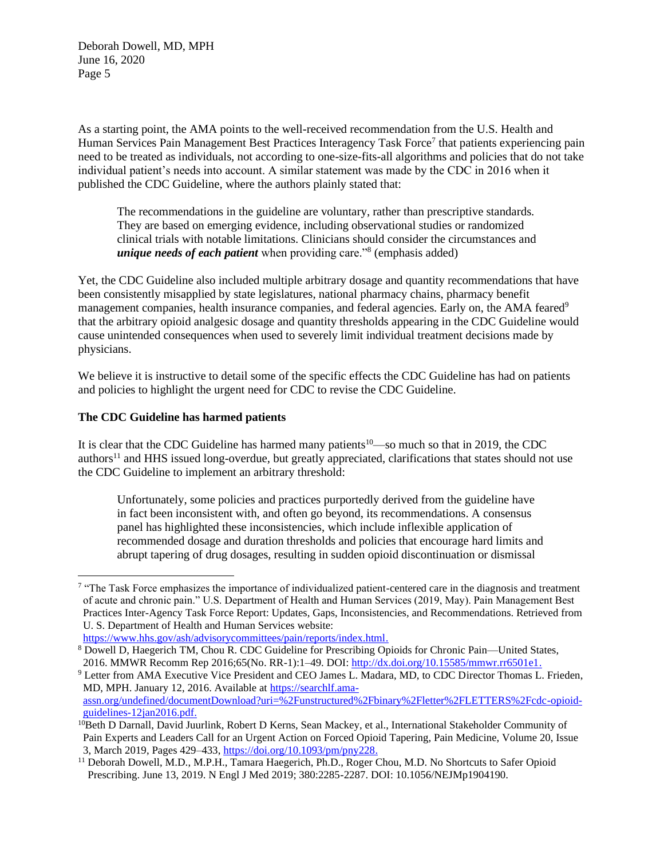As a starting point, the AMA points to the well-received recommendation from the U.S. Health and Human Services Pain Management Best Practices Interagency Task Force<sup>7</sup> that patients experiencing pain need to be treated as individuals, not according to one-size-fits-all algorithms and policies that do not take individual patient's needs into account. A similar statement was made by the CDC in 2016 when it published the CDC Guideline, where the authors plainly stated that:

The recommendations in the guideline are voluntary, rather than prescriptive standards. They are based on emerging evidence, including observational studies or randomized clinical trials with notable limitations. Clinicians should consider the circumstances and *unique needs of each patient* when providing care."<sup>8</sup> (emphasis added)

Yet, the CDC Guideline also included multiple arbitrary dosage and quantity recommendations that have been consistently misapplied by state legislatures, national pharmacy chains, pharmacy benefit management companies, health insurance companies, and federal agencies. Early on, the AMA feared<sup>9</sup> that the arbitrary opioid analgesic dosage and quantity thresholds appearing in the CDC Guideline would cause unintended consequences when used to severely limit individual treatment decisions made by physicians.

We believe it is instructive to detail some of the specific effects the CDC Guideline has had on patients and policies to highlight the urgent need for CDC to revise the CDC Guideline.

# **The CDC Guideline has harmed patients**

It is clear that the CDC Guideline has harmed many patients<sup>10</sup>—so much so that in 2019, the CDC authors<sup>11</sup> and HHS issued long-overdue, but greatly appreciated, clarifications that states should not use the CDC Guideline to implement an arbitrary threshold:

Unfortunately, some policies and practices purportedly derived from the guideline have in fact been inconsistent with, and often go beyond, its recommendations. A consensus panel has highlighted these inconsistencies, which include inflexible application of recommended dosage and duration thresholds and policies that encourage hard limits and abrupt tapering of drug dosages, resulting in sudden opioid discontinuation or dismissal

<sup>9</sup> Letter from AMA Executive Vice President and CEO James L. Madara, MD, to CDC Director Thomas L. Frieden, MD, MPH. January 12, 2016. Available at [https://searchlf.ama](https://searchlf.ama-assn.org/undefined/documentDownload?uri=%2Funstructured%2Fbinary%2Fletter%2FLETTERS%2Fcdc-opioid-guidelines-12jan2016.pdf)[assn.org/undefined/documentDownload?uri=%2Funstructured%2Fbinary%2Fletter%2FLETTERS%2Fcdc-opioid](https://searchlf.ama-assn.org/undefined/documentDownload?uri=%2Funstructured%2Fbinary%2Fletter%2FLETTERS%2Fcdc-opioid-guidelines-12jan2016.pdf)[guidelines-12jan2016.pdf.](https://searchlf.ama-assn.org/undefined/documentDownload?uri=%2Funstructured%2Fbinary%2Fletter%2FLETTERS%2Fcdc-opioid-guidelines-12jan2016.pdf)

<sup>&</sup>lt;sup>7</sup> "The Task Force emphasizes the importance of individualized patient-centered care in the diagnosis and treatment of acute and chronic pain." U.S. Department of Health and Human Services (2019, May). Pain Management Best Practices Inter-Agency Task Force Report: Updates, Gaps, Inconsistencies, and Recommendations. Retrieved from U. S. Department of Health and Human Services website:

[https://www.hhs.gov/ash/advisorycommittees/pain/reports/index.html.](https://www.hhs.gov/ash/advisorycommittees/pain/reports/index.html)

<sup>8</sup> Dowell D, Haegerich TM, Chou R. CDC Guideline for Prescribing Opioids for Chronic Pain—United States, 2016. MMWR Recomm Rep 2016;65(No. RR-1):1–49. DOI: [http://dx.doi.org/10.15585/mmwr.rr6501e1.](http://dx.doi.org/10.15585/mmwr.rr6501e1)

<sup>&</sup>lt;sup>10</sup>Beth D Darnall, David Juurlink, Robert D Kerns, Sean Mackey, et al., International Stakeholder Community of Pain Experts and Leaders Call for an Urgent Action on Forced Opioid Tapering, Pain Medicine, Volume 20, Issue 3, March 2019, Pages 429–433, [https://doi.org/10.1093/pm/pny228.](https://doi.org/10.1093/pm/pny228)

<sup>&</sup>lt;sup>11</sup> Deborah Dowell, M.D., M.P.H., Tamara Haegerich, Ph.D., Roger Chou, M.D. No Shortcuts to Safer Opioid Prescribing. June 13, 2019. N Engl J Med 2019; 380:2285-2287. DOI: 10.1056/NEJMp1904190.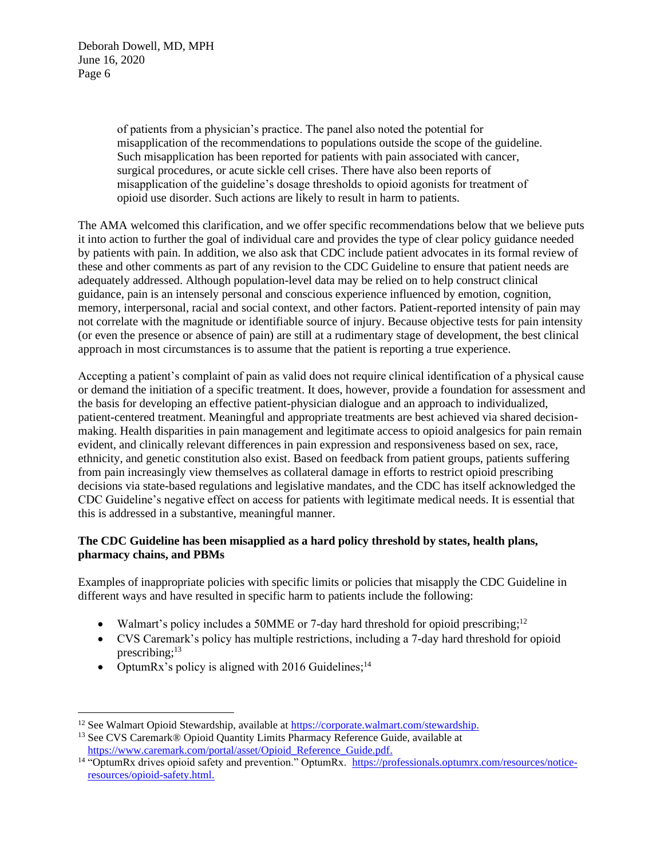> of patients from a physician's practice. The panel also noted the potential for misapplication of the recommendations to populations outside the scope of the guideline. Such misapplication has been reported for patients with pain associated with cancer, surgical procedures, or acute sickle cell crises. There have also been reports of misapplication of the guideline's dosage thresholds to opioid agonists for treatment of opioid use disorder. Such actions are likely to result in harm to patients.

The AMA welcomed this clarification, and we offer specific recommendations below that we believe puts it into action to further the goal of individual care and provides the type of clear policy guidance needed by patients with pain. In addition, we also ask that CDC include patient advocates in its formal review of these and other comments as part of any revision to the CDC Guideline to ensure that patient needs are adequately addressed. Although population-level data may be relied on to help construct clinical guidance, pain is an intensely personal and conscious experience influenced by emotion, cognition, memory, interpersonal, racial and social context, and other factors. Patient-reported intensity of pain may not correlate with the magnitude or identifiable source of injury. Because objective tests for pain intensity (or even the presence or absence of pain) are still at a rudimentary stage of development, the best clinical approach in most circumstances is to assume that the patient is reporting a true experience.

Accepting a patient's complaint of pain as valid does not require clinical identification of a physical cause or demand the initiation of a specific treatment. It does, however, provide a foundation for assessment and the basis for developing an effective patient-physician dialogue and an approach to individualized, patient-centered treatment. Meaningful and appropriate treatments are best achieved via shared decisionmaking. Health disparities in pain management and legitimate access to opioid analgesics for pain remain evident, and clinically relevant differences in pain expression and responsiveness based on sex, race, ethnicity, and genetic constitution also exist. Based on feedback from patient groups, patients suffering from pain increasingly view themselves as collateral damage in efforts to restrict opioid prescribing decisions via state-based regulations and legislative mandates, and the CDC has itself acknowledged the CDC Guideline's negative effect on access for patients with legitimate medical needs. It is essential that this is addressed in a substantive, meaningful manner.

# **The CDC Guideline has been misapplied as a hard policy threshold by states, health plans, pharmacy chains, and PBMs**

Examples of inappropriate policies with specific limits or policies that misapply the CDC Guideline in different ways and have resulted in specific harm to patients include the following:

- Walmart's policy includes a 50MME or 7-day hard threshold for opioid prescribing;<sup>12</sup>
- CVS Caremark's policy has multiple restrictions, including a 7-day hard threshold for opioid prescribing; 13
- OptumRx's policy is aligned with 2016 Guidelines;<sup>14</sup>

<sup>&</sup>lt;sup>12</sup> See Walmart Opioid Stewardship, available at [https://corporate.walmart.com/stewardship.](https://corporate.walmart.com/stewardship)

<sup>&</sup>lt;sup>13</sup> See CVS Caremark<sup>®</sup> Opioid Quantity Limits Pharmacy Reference Guide, available at [https://www.caremark.com/portal/asset/Opioid\\_Reference\\_Guide.pdf.](https://www.caremark.com/portal/asset/Opioid_Reference_Guide.pdf)

<sup>&</sup>lt;sup>14</sup> "OptumRx drives opioid safety and prevention." OptumRx. [https://professionals.optumrx.com/resources/notice](https://professionals.optumrx.com/resources/notice-resources/opioid-safety.html)[resources/opioid-safety.html.](https://professionals.optumrx.com/resources/notice-resources/opioid-safety.html)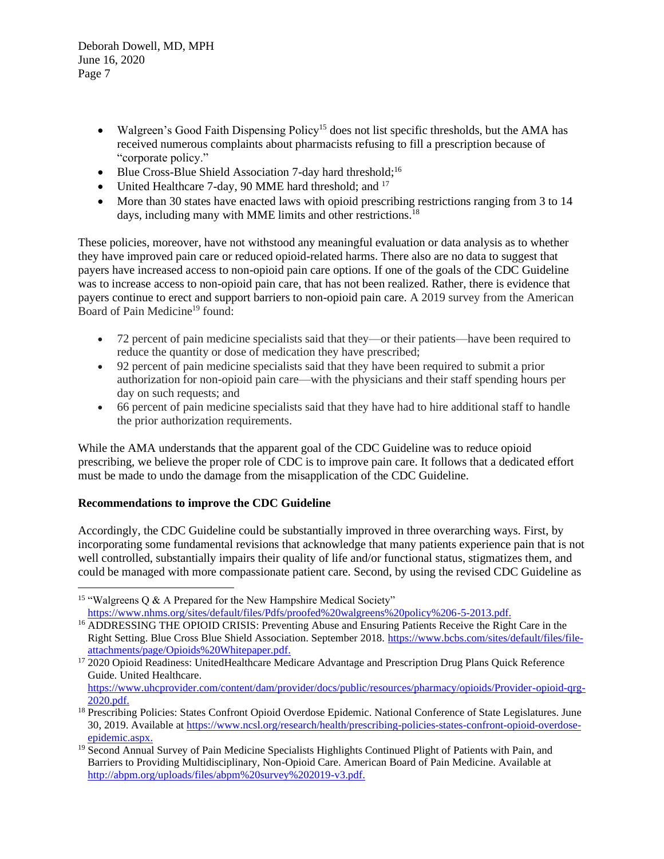- Walgreen's Good Faith Dispensing Policy<sup>15</sup> does not list specific thresholds, but the AMA has received numerous complaints about pharmacists refusing to fill a prescription because of "corporate policy."
- Blue Cross-Blue Shield Association 7-day hard threshold;<sup>16</sup>
- United Healthcare 7-day, 90 MME hard threshold; and <sup>17</sup>
- More than 30 states have enacted laws with opioid prescribing restrictions ranging from 3 to 14 days, including many with MME limits and other restrictions.<sup>18</sup>

These policies, moreover, have not withstood any meaningful evaluation or data analysis as to whether they have improved pain care or reduced opioid-related harms. There also are no data to suggest that payers have increased access to non-opioid pain care options. If one of the goals of the CDC Guideline was to increase access to non-opioid pain care, that has not been realized. Rather, there is evidence that payers continue to erect and support barriers to non-opioid pain care. A 2019 survey from the American Board of Pain Medicine<sup>19</sup> found:

- 72 percent of pain medicine specialists said that they—or their patients—have been required to reduce the quantity or dose of medication they have prescribed;
- 92 percent of pain medicine specialists said that they have been required to submit a prior authorization for non-opioid pain care—with the physicians and their staff spending hours per day on such requests; and
- 66 percent of pain medicine specialists said that they have had to hire additional staff to handle the prior authorization requirements.

While the AMA understands that the apparent goal of the CDC Guideline was to reduce opioid prescribing, we believe the proper role of CDC is to improve pain care. It follows that a dedicated effort must be made to undo the damage from the misapplication of the CDC Guideline.

# **Recommendations to improve the CDC Guideline**

Accordingly, the CDC Guideline could be substantially improved in three overarching ways. First, by incorporating some fundamental revisions that acknowledge that many patients experience pain that is not well controlled, substantially impairs their quality of life and/or functional status, stigmatizes them, and could be managed with more compassionate patient care. Second, by using the revised CDC Guideline as

<sup>&</sup>lt;sup>15</sup> "Walgreens  $\overline{O}$  & A Prepared for the New Hampshire Medical Society" [https://www.nhms.org/sites/default/files/Pdfs/proofed%20walgreens%20policy%206-5-2013.pdf.](https://www.nhms.org/sites/default/files/Pdfs/proofed%20walgreens%20policy%206-5-2013.pdf)

<sup>&</sup>lt;sup>16</sup> ADDRESSING THE OPIOID CRISIS: Preventing Abuse and Ensuring Patients Receive the Right Care in the Right Setting. Blue Cross Blue Shield Association. September 2018. [https://www.bcbs.com/sites/default/files/file](https://www.bcbs.com/sites/default/files/file-attachments/page/Opioids%20Whitepaper.pdf)[attachments/page/Opioids%20Whitepaper.pdf.](https://www.bcbs.com/sites/default/files/file-attachments/page/Opioids%20Whitepaper.pdf)

<sup>&</sup>lt;sup>17</sup> 2020 Opioid Readiness: UnitedHealthcare Medicare Advantage and Prescription Drug Plans Quick Reference Guide. United Healthcare.

[https://www.uhcprovider.com/content/dam/provider/docs/public/resources/pharmacy/opioids/Provider-opioid-qrg-](https://www.uhcprovider.com/content/dam/provider/docs/public/resources/pharmacy/opioids/Provider-opioid-qrg-2020.pdf)[2020.pdf.](https://www.uhcprovider.com/content/dam/provider/docs/public/resources/pharmacy/opioids/Provider-opioid-qrg-2020.pdf)

<sup>&</sup>lt;sup>18</sup> Prescribing Policies: States Confront Opioid Overdose Epidemic. National Conference of State Legislatures. June 30, 2019. Available at [https://www.ncsl.org/research/health/prescribing-policies-states-confront-opioid-overdose](https://www.ncsl.org/research/health/prescribing-policies-states-confront-opioid-overdose-epidemic.aspx)[epidemic.aspx.](https://www.ncsl.org/research/health/prescribing-policies-states-confront-opioid-overdose-epidemic.aspx)

<sup>&</sup>lt;sup>19</sup> Second Annual Survey of Pain Medicine Specialists Highlights Continued Plight of Patients with Pain, and Barriers to Providing Multidisciplinary, Non-Opioid Care. American Board of Pain Medicine. Available at [http://abpm.org/uploads/files/abpm%20survey%202019-v3.pdf.](http://abpm.org/uploads/files/abpm%20survey%202019-v3.pdf)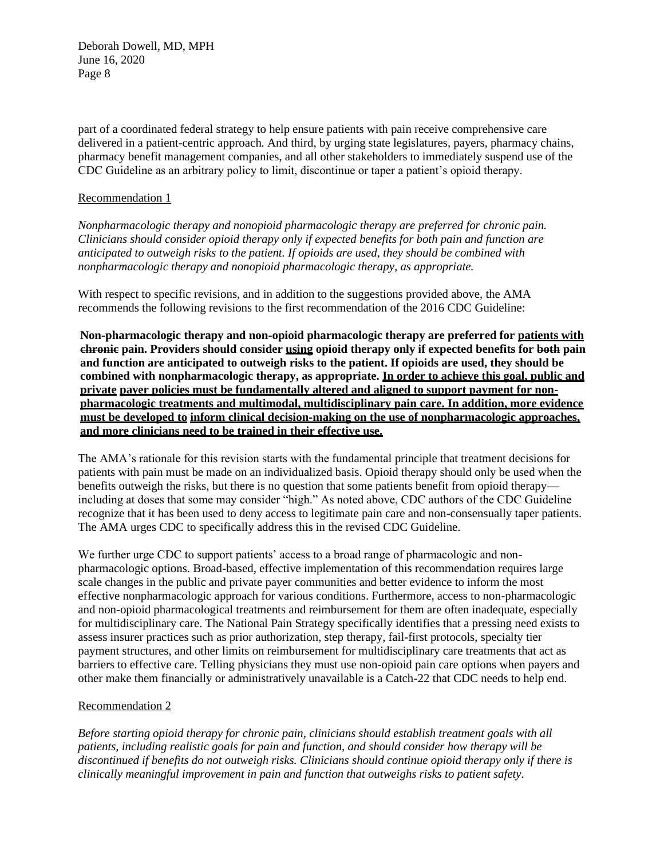part of a coordinated federal strategy to help ensure patients with pain receive comprehensive care delivered in a patient-centric approach. And third, by urging state legislatures, payers, pharmacy chains, pharmacy benefit management companies, and all other stakeholders to immediately suspend use of the CDC Guideline as an arbitrary policy to limit, discontinue or taper a patient's opioid therapy.

## Recommendation 1

*Nonpharmacologic therapy and nonopioid pharmacologic therapy are preferred for chronic pain. Clinicians should consider opioid therapy only if expected benefits for both pain and function are anticipated to outweigh risks to the patient. If opioids are used, they should be combined with nonpharmacologic therapy and nonopioid pharmacologic therapy, as appropriate.*

With respect to specific revisions, and in addition to the suggestions provided above, the AMA recommends the following revisions to the first recommendation of the 2016 CDC Guideline:

**Non-pharmacologic therapy and non-opioid pharmacologic therapy are preferred for patients with chronic pain. Providers should consider using opioid therapy only if expected benefits for both pain and function are anticipated to outweigh risks to the patient. If opioids are used, they should be combined with nonpharmacologic therapy, as appropriate. In order to achieve this goal, public and private payer policies must be fundamentally altered and aligned to support payment for nonpharmacologic treatments and multimodal, multidisciplinary pain care. In addition, more evidence must be developed to inform clinical decision-making on the use of nonpharmacologic approaches, and more clinicians need to be trained in their effective use.**

The AMA's rationale for this revision starts with the fundamental principle that treatment decisions for patients with pain must be made on an individualized basis. Opioid therapy should only be used when the benefits outweigh the risks, but there is no question that some patients benefit from opioid therapy including at doses that some may consider "high." As noted above, CDC authors of the CDC Guideline recognize that it has been used to deny access to legitimate pain care and non-consensually taper patients. The AMA urges CDC to specifically address this in the revised CDC Guideline.

We further urge CDC to support patients' access to a broad range of pharmacologic and nonpharmacologic options. Broad-based, effective implementation of this recommendation requires large scale changes in the public and private payer communities and better evidence to inform the most effective nonpharmacologic approach for various conditions. Furthermore, access to non-pharmacologic and non-opioid pharmacological treatments and reimbursement for them are often inadequate, especially for multidisciplinary care. The National Pain Strategy specifically identifies that a pressing need exists to assess insurer practices such as prior authorization, step therapy, fail-first protocols, specialty tier payment structures, and other limits on reimbursement for multidisciplinary care treatments that act as barriers to effective care. Telling physicians they must use non-opioid pain care options when payers and other make them financially or administratively unavailable is a Catch-22 that CDC needs to help end.

## Recommendation 2

*Before starting opioid therapy for chronic pain, clinicians should establish treatment goals with all patients, including realistic goals for pain and function, and should consider how therapy will be discontinued if benefits do not outweigh risks. Clinicians should continue opioid therapy only if there is clinically meaningful improvement in pain and function that outweighs risks to patient safety.*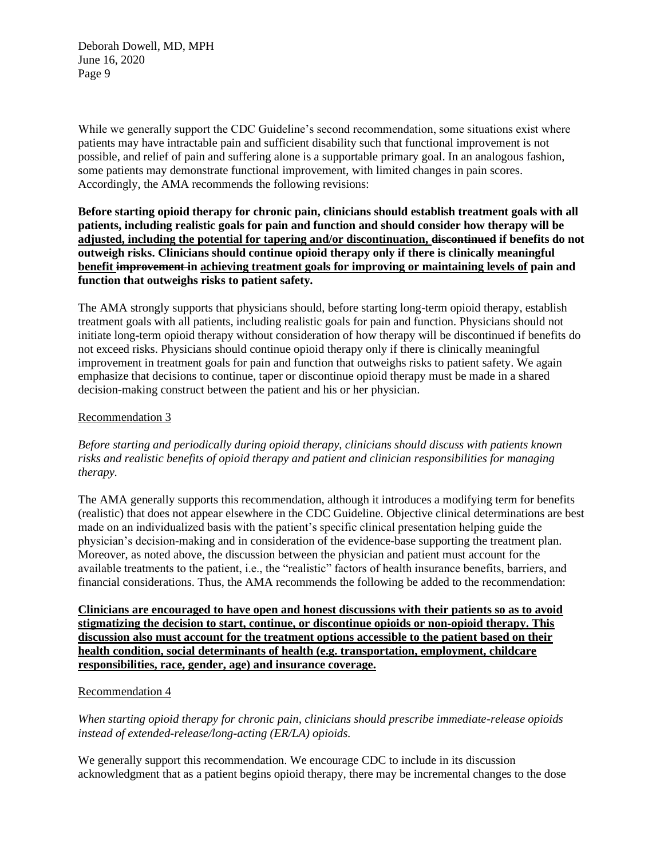While we generally support the CDC Guideline's second recommendation, some situations exist where patients may have intractable pain and sufficient disability such that functional improvement is not possible, and relief of pain and suffering alone is a supportable primary goal. In an analogous fashion, some patients may demonstrate functional improvement, with limited changes in pain scores. Accordingly, the AMA recommends the following revisions:

**Before starting opioid therapy for chronic pain, clinicians should establish treatment goals with all patients, including realistic goals for pain and function and should consider how therapy will be adjusted, including the potential for tapering and/or discontinuation, discontinued if benefits do not outweigh risks. Clinicians should continue opioid therapy only if there is clinically meaningful benefit improvement in achieving treatment goals for improving or maintaining levels of pain and function that outweighs risks to patient safety.**

The AMA strongly supports that physicians should, before starting long-term opioid therapy, establish treatment goals with all patients, including realistic goals for pain and function. Physicians should not initiate long-term opioid therapy without consideration of how therapy will be discontinued if benefits do not exceed risks. Physicians should continue opioid therapy only if there is clinically meaningful improvement in treatment goals for pain and function that outweighs risks to patient safety. We again emphasize that decisions to continue, taper or discontinue opioid therapy must be made in a shared decision-making construct between the patient and his or her physician.

# Recommendation 3

*Before starting and periodically during opioid therapy, clinicians should discuss with patients known risks and realistic benefits of opioid therapy and patient and clinician responsibilities for managing therapy.*

The AMA generally supports this recommendation, although it introduces a modifying term for benefits (realistic) that does not appear elsewhere in the CDC Guideline. Objective clinical determinations are best made on an individualized basis with the patient's specific clinical presentation helping guide the physician's decision-making and in consideration of the evidence-base supporting the treatment plan. Moreover, as noted above, the discussion between the physician and patient must account for the available treatments to the patient, i.e., the "realistic" factors of health insurance benefits, barriers, and financial considerations. Thus, the AMA recommends the following be added to the recommendation:

**Clinicians are encouraged to have open and honest discussions with their patients so as to avoid stigmatizing the decision to start, continue, or discontinue opioids or non-opioid therapy. This discussion also must account for the treatment options accessible to the patient based on their health condition, social determinants of health (e.g. transportation, employment, childcare responsibilities, race, gender, age) and insurance coverage.**

## Recommendation 4

*When starting opioid therapy for chronic pain, clinicians should prescribe immediate-release opioids instead of extended-release/long-acting (ER/LA) opioids.*

We generally support this recommendation. We encourage CDC to include in its discussion acknowledgment that as a patient begins opioid therapy, there may be incremental changes to the dose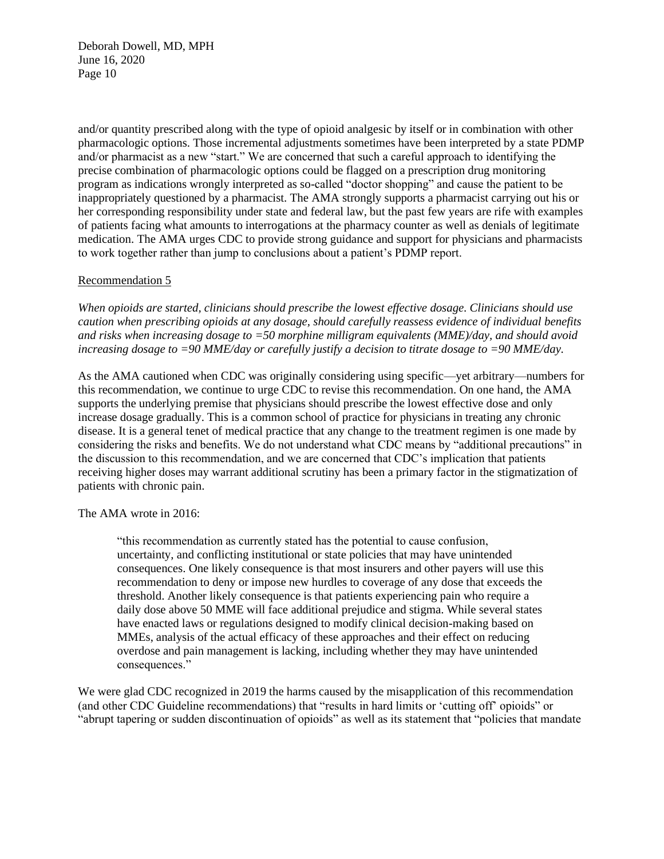and/or quantity prescribed along with the type of opioid analgesic by itself or in combination with other pharmacologic options. Those incremental adjustments sometimes have been interpreted by a state PDMP and/or pharmacist as a new "start." We are concerned that such a careful approach to identifying the precise combination of pharmacologic options could be flagged on a prescription drug monitoring program as indications wrongly interpreted as so-called "doctor shopping" and cause the patient to be inappropriately questioned by a pharmacist. The AMA strongly supports a pharmacist carrying out his or her corresponding responsibility under state and federal law, but the past few years are rife with examples of patients facing what amounts to interrogations at the pharmacy counter as well as denials of legitimate medication. The AMA urges CDC to provide strong guidance and support for physicians and pharmacists to work together rather than jump to conclusions about a patient's PDMP report.

## Recommendation 5

*When opioids are started, clinicians should prescribe the lowest effective dosage. Clinicians should use caution when prescribing opioids at any dosage, should carefully reassess evidence of individual benefits and risks when increasing dosage to =50 morphine milligram equivalents (MME)/day, and should avoid increasing dosage to =90 MME/day or carefully justify a decision to titrate dosage to =90 MME/day.*

As the AMA cautioned when CDC was originally considering using specific—yet arbitrary—numbers for this recommendation, we continue to urge CDC to revise this recommendation. On one hand, the AMA supports the underlying premise that physicians should prescribe the lowest effective dose and only increase dosage gradually. This is a common school of practice for physicians in treating any chronic disease. It is a general tenet of medical practice that any change to the treatment regimen is one made by considering the risks and benefits. We do not understand what CDC means by "additional precautions" in the discussion to this recommendation, and we are concerned that CDC's implication that patients receiving higher doses may warrant additional scrutiny has been a primary factor in the stigmatization of patients with chronic pain.

The AMA wrote in 2016:

"this recommendation as currently stated has the potential to cause confusion, uncertainty, and conflicting institutional or state policies that may have unintended consequences. One likely consequence is that most insurers and other payers will use this recommendation to deny or impose new hurdles to coverage of any dose that exceeds the threshold. Another likely consequence is that patients experiencing pain who require a daily dose above 50 MME will face additional prejudice and stigma. While several states have enacted laws or regulations designed to modify clinical decision-making based on MMEs, analysis of the actual efficacy of these approaches and their effect on reducing overdose and pain management is lacking, including whether they may have unintended consequences."

We were glad CDC recognized in 2019 the harms caused by the misapplication of this recommendation (and other CDC Guideline recommendations) that "results in hard limits or 'cutting off' opioids" or "abrupt tapering or sudden discontinuation of opioids" as well as its statement that "policies that mandate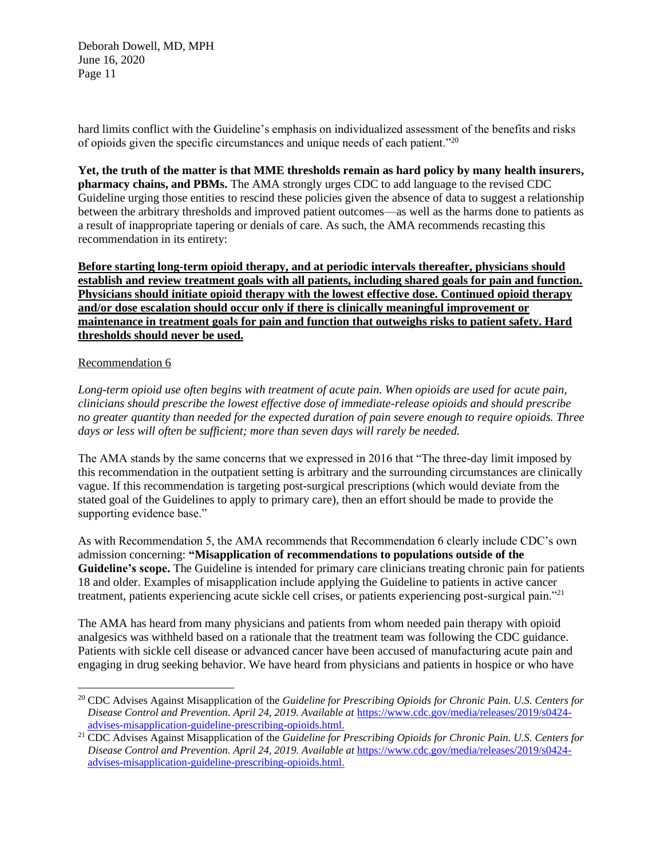hard limits conflict with the Guideline's emphasis on individualized assessment of the benefits and risks of opioids given the specific circumstances and unique needs of each patient."<sup>20</sup>

**Yet, the truth of the matter is that MME thresholds remain as hard policy by many health insurers, pharmacy chains, and PBMs.** The AMA strongly urges CDC to add language to the revised CDC Guideline urging those entities to rescind these policies given the absence of data to suggest a relationship between the arbitrary thresholds and improved patient outcomes—as well as the harms done to patients as a result of inappropriate tapering or denials of care. As such, the AMA recommends recasting this recommendation in its entirety:

**Before starting long-term opioid therapy, and at periodic intervals thereafter, physicians should establish and review treatment goals with all patients, including shared goals for pain and function. Physicians should initiate opioid therapy with the lowest effective dose. Continued opioid therapy and/or dose escalation should occur only if there is clinically meaningful improvement or maintenance in treatment goals for pain and function that outweighs risks to patient safety. Hard thresholds should never be used.**

#### Recommendation 6

*Long-term opioid use often begins with treatment of acute pain. When opioids are used for acute pain, clinicians should prescribe the lowest effective dose of immediate-release opioids and should prescribe no greater quantity than needed for the expected duration of pain severe enough to require opioids. Three days or less will often be sufficient; more than seven days will rarely be needed.*

The AMA stands by the same concerns that we expressed in 2016 that "The three-day limit imposed by this recommendation in the outpatient setting is arbitrary and the surrounding circumstances are clinically vague. If this recommendation is targeting post-surgical prescriptions (which would deviate from the stated goal of the Guidelines to apply to primary care), then an effort should be made to provide the supporting evidence base."

As with Recommendation 5, the AMA recommends that Recommendation 6 clearly include CDC's own admission concerning: **"Misapplication of recommendations to populations outside of the Guideline's scope.** The Guideline is intended for primary care clinicians treating chronic pain for patients 18 and older. Examples of misapplication include applying the Guideline to patients in active cancer treatment, patients experiencing acute sickle cell crises, or patients experiencing post-surgical pain."<sup>21</sup>

The AMA has heard from many physicians and patients from whom needed pain therapy with opioid analgesics was withheld based on a rationale that the treatment team was following the CDC guidance. Patients with sickle cell disease or advanced cancer have been accused of manufacturing acute pain and engaging in drug seeking behavior. We have heard from physicians and patients in hospice or who have

<sup>20</sup> CDC Advises Against Misapplication of the *Guideline for Prescribing Opioids for Chronic Pain. U.S. Centers for Disease Control and Prevention. April 24, 2019. Available at* [https://www.cdc.gov/media/releases/2019/s0424](https://www.cdc.gov/media/releases/2019/s0424-advises-misapplication-guideline-prescribing-opioids.html) [advises-misapplication-guideline-prescribing-opioids.html.](https://www.cdc.gov/media/releases/2019/s0424-advises-misapplication-guideline-prescribing-opioids.html)

<sup>21</sup> CDC Advises Against Misapplication of the *Guideline for Prescribing Opioids for Chronic Pain. U.S. Centers for Disease Control and Prevention. April 24, 2019. Available at* [https://www.cdc.gov/media/releases/2019/s0424](https://www.cdc.gov/media/releases/2019/s0424-advises-misapplication-guideline-prescribing-opioids.html) [advises-misapplication-guideline-prescribing-opioids.html.](https://www.cdc.gov/media/releases/2019/s0424-advises-misapplication-guideline-prescribing-opioids.html)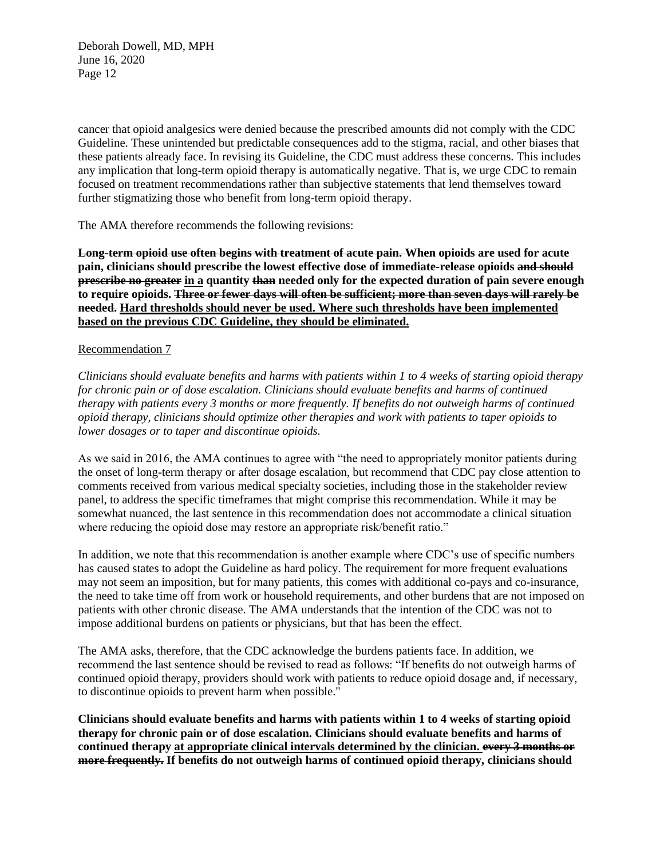cancer that opioid analgesics were denied because the prescribed amounts did not comply with the CDC Guideline. These unintended but predictable consequences add to the stigma, racial, and other biases that these patients already face. In revising its Guideline, the CDC must address these concerns. This includes any implication that long-term opioid therapy is automatically negative. That is, we urge CDC to remain focused on treatment recommendations rather than subjective statements that lend themselves toward further stigmatizing those who benefit from long-term opioid therapy.

The AMA therefore recommends the following revisions:

**Long-term opioid use often begins with treatment of acute pain. When opioids are used for acute pain, clinicians should prescribe the lowest effective dose of immediate-release opioids and should prescribe no greater in a quantity than needed only for the expected duration of pain severe enough to require opioids. Three or fewer days will often be sufficient; more than seven days will rarely be needed. Hard thresholds should never be used. Where such thresholds have been implemented based on the previous CDC Guideline, they should be eliminated.** 

## Recommendation 7

*Clinicians should evaluate benefits and harms with patients within 1 to 4 weeks of starting opioid therapy for chronic pain or of dose escalation. Clinicians should evaluate benefits and harms of continued therapy with patients every 3 months or more frequently. If benefits do not outweigh harms of continued opioid therapy, clinicians should optimize other therapies and work with patients to taper opioids to lower dosages or to taper and discontinue opioids.*

As we said in 2016, the AMA continues to agree with "the need to appropriately monitor patients during the onset of long-term therapy or after dosage escalation, but recommend that CDC pay close attention to comments received from various medical specialty societies, including those in the stakeholder review panel, to address the specific timeframes that might comprise this recommendation. While it may be somewhat nuanced, the last sentence in this recommendation does not accommodate a clinical situation where reducing the opioid dose may restore an appropriate risk/benefit ratio."

In addition, we note that this recommendation is another example where CDC's use of specific numbers has caused states to adopt the Guideline as hard policy. The requirement for more frequent evaluations may not seem an imposition, but for many patients, this comes with additional co-pays and co-insurance, the need to take time off from work or household requirements, and other burdens that are not imposed on patients with other chronic disease. The AMA understands that the intention of the CDC was not to impose additional burdens on patients or physicians, but that has been the effect.

The AMA asks, therefore, that the CDC acknowledge the burdens patients face. In addition, we recommend the last sentence should be revised to read as follows: "If benefits do not outweigh harms of continued opioid therapy, providers should work with patients to reduce opioid dosage and, if necessary, to discontinue opioids to prevent harm when possible."

**Clinicians should evaluate benefits and harms with patients within 1 to 4 weeks of starting opioid therapy for chronic pain or of dose escalation. Clinicians should evaluate benefits and harms of continued therapy at appropriate clinical intervals determined by the clinician. every 3 months or more frequently. If benefits do not outweigh harms of continued opioid therapy, clinicians should**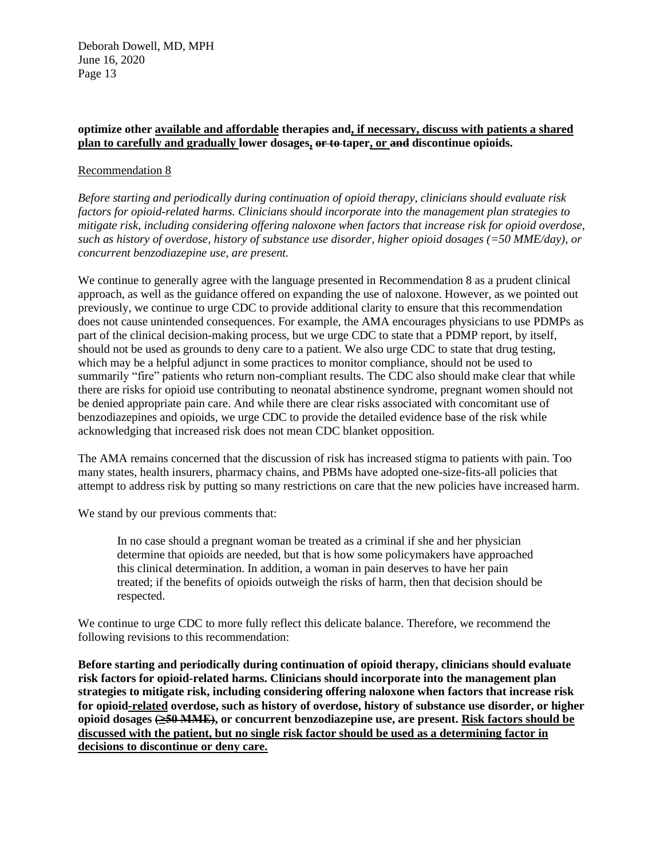# **optimize other available and affordable therapies and, if necessary, discuss with patients a shared plan to carefully and gradually lower dosages, or to taper, or and discontinue opioids.**

## Recommendation 8

*Before starting and periodically during continuation of opioid therapy, clinicians should evaluate risk factors for opioid-related harms. Clinicians should incorporate into the management plan strategies to mitigate risk, including considering offering naloxone when factors that increase risk for opioid overdose, such as history of overdose, history of substance use disorder, higher opioid dosages (=50 MME/day), or concurrent benzodiazepine use, are present.*

We continue to generally agree with the language presented in Recommendation 8 as a prudent clinical approach, as well as the guidance offered on expanding the use of naloxone. However, as we pointed out previously, we continue to urge CDC to provide additional clarity to ensure that this recommendation does not cause unintended consequences. For example, the AMA encourages physicians to use PDMPs as part of the clinical decision-making process, but we urge CDC to state that a PDMP report, by itself, should not be used as grounds to deny care to a patient. We also urge CDC to state that drug testing, which may be a helpful adjunct in some practices to monitor compliance, should not be used to summarily "fire" patients who return non-compliant results. The CDC also should make clear that while there are risks for opioid use contributing to neonatal abstinence syndrome, pregnant women should not be denied appropriate pain care. And while there are clear risks associated with concomitant use of benzodiazepines and opioids, we urge CDC to provide the detailed evidence base of the risk while acknowledging that increased risk does not mean CDC blanket opposition.

The AMA remains concerned that the discussion of risk has increased stigma to patients with pain. Too many states, health insurers, pharmacy chains, and PBMs have adopted one-size-fits-all policies that attempt to address risk by putting so many restrictions on care that the new policies have increased harm.

We stand by our previous comments that:

In no case should a pregnant woman be treated as a criminal if she and her physician determine that opioids are needed, but that is how some policymakers have approached this clinical determination. In addition, a woman in pain deserves to have her pain treated; if the benefits of opioids outweigh the risks of harm, then that decision should be respected.

We continue to urge CDC to more fully reflect this delicate balance. Therefore, we recommend the following revisions to this recommendation:

**Before starting and periodically during continuation of opioid therapy, clinicians should evaluate risk factors for opioid-related harms. Clinicians should incorporate into the management plan strategies to mitigate risk, including considering offering naloxone when factors that increase risk for opioid-related overdose, such as history of overdose, history of substance use disorder, or higher opioid dosages (≥50 MME), or concurrent benzodiazepine use, are present. Risk factors should be discussed with the patient, but no single risk factor should be used as a determining factor in decisions to discontinue or deny care.**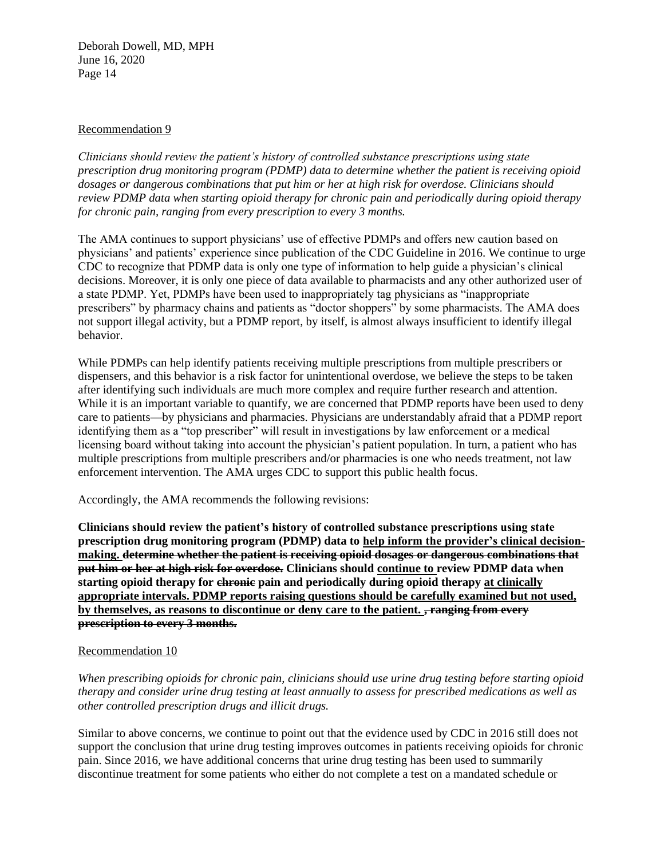#### Recommendation 9

*Clinicians should review the patient's history of controlled substance prescriptions using state prescription drug monitoring program (PDMP) data to determine whether the patient is receiving opioid dosages or dangerous combinations that put him or her at high risk for overdose. Clinicians should review PDMP data when starting opioid therapy for chronic pain and periodically during opioid therapy for chronic pain, ranging from every prescription to every 3 months.*

The AMA continues to support physicians' use of effective PDMPs and offers new caution based on physicians' and patients' experience since publication of the CDC Guideline in 2016. We continue to urge CDC to recognize that PDMP data is only one type of information to help guide a physician's clinical decisions. Moreover, it is only one piece of data available to pharmacists and any other authorized user of a state PDMP. Yet, PDMPs have been used to inappropriately tag physicians as "inappropriate prescribers" by pharmacy chains and patients as "doctor shoppers" by some pharmacists. The AMA does not support illegal activity, but a PDMP report, by itself, is almost always insufficient to identify illegal behavior.

While PDMPs can help identify patients receiving multiple prescriptions from multiple prescribers or dispensers, and this behavior is a risk factor for unintentional overdose, we believe the steps to be taken after identifying such individuals are much more complex and require further research and attention. While it is an important variable to quantify, we are concerned that PDMP reports have been used to deny care to patients—by physicians and pharmacies. Physicians are understandably afraid that a PDMP report identifying them as a "top prescriber" will result in investigations by law enforcement or a medical licensing board without taking into account the physician's patient population. In turn, a patient who has multiple prescriptions from multiple prescribers and/or pharmacies is one who needs treatment, not law enforcement intervention. The AMA urges CDC to support this public health focus.

Accordingly, the AMA recommends the following revisions:

**Clinicians should review the patient's history of controlled substance prescriptions using state prescription drug monitoring program (PDMP) data to help inform the provider's clinical decisionmaking. determine whether the patient is receiving opioid dosages or dangerous combinations that put him or her at high risk for overdose. Clinicians should continue to review PDMP data when starting opioid therapy for chronic pain and periodically during opioid therapy at clinically appropriate intervals. PDMP reports raising questions should be carefully examined but not used, by themselves, as reasons to discontinue or deny care to the patient. , ranging from every prescription to every 3 months.**

## Recommendation 10

*When prescribing opioids for chronic pain, clinicians should use urine drug testing before starting opioid therapy and consider urine drug testing at least annually to assess for prescribed medications as well as other controlled prescription drugs and illicit drugs.*

Similar to above concerns, we continue to point out that the evidence used by CDC in 2016 still does not support the conclusion that urine drug testing improves outcomes in patients receiving opioids for chronic pain. Since 2016, we have additional concerns that urine drug testing has been used to summarily discontinue treatment for some patients who either do not complete a test on a mandated schedule or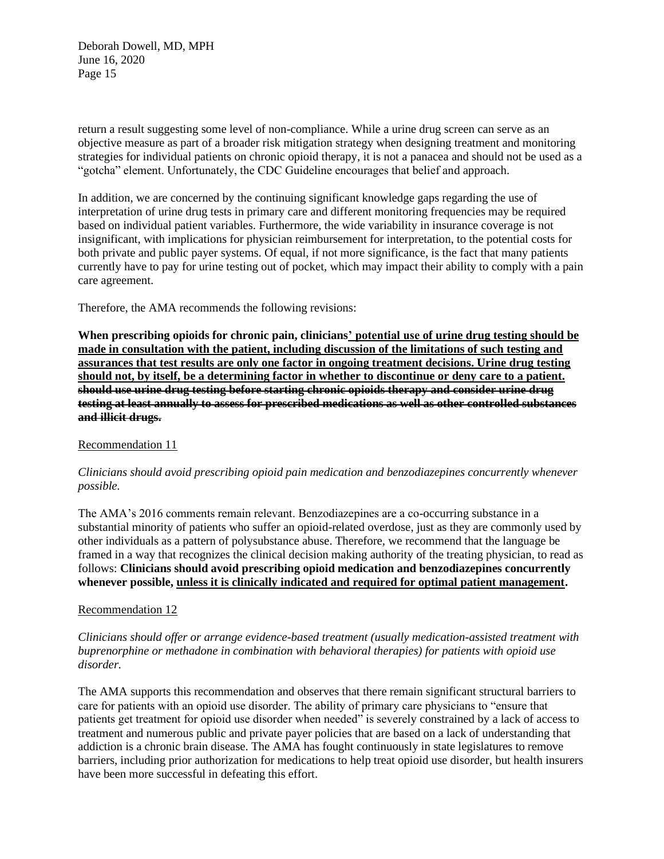return a result suggesting some level of non-compliance. While a urine drug screen can serve as an objective measure as part of a broader risk mitigation strategy when designing treatment and monitoring strategies for individual patients on chronic opioid therapy, it is not a panacea and should not be used as a "gotcha" element. Unfortunately, the CDC Guideline encourages that belief and approach.

In addition, we are concerned by the continuing significant knowledge gaps regarding the use of interpretation of urine drug tests in primary care and different monitoring frequencies may be required based on individual patient variables. Furthermore, the wide variability in insurance coverage is not insignificant, with implications for physician reimbursement for interpretation, to the potential costs for both private and public payer systems. Of equal, if not more significance, is the fact that many patients currently have to pay for urine testing out of pocket, which may impact their ability to comply with a pain care agreement.

Therefore, the AMA recommends the following revisions:

**When prescribing opioids for chronic pain, clinicians' potential use of urine drug testing should be made in consultation with the patient, including discussion of the limitations of such testing and assurances that test results are only one factor in ongoing treatment decisions. Urine drug testing should not, by itself, be a determining factor in whether to discontinue or deny care to a patient. should use urine drug testing before starting chronic opioids therapy and consider urine drug testing at least annually to assess for prescribed medications as well as other controlled substances and illicit drugs.**

#### Recommendation 11

#### *Clinicians should avoid prescribing opioid pain medication and benzodiazepines concurrently whenever possible.*

The AMA's 2016 comments remain relevant. Benzodiazepines are a co-occurring substance in a substantial minority of patients who suffer an opioid-related overdose, just as they are commonly used by other individuals as a pattern of polysubstance abuse. Therefore, we recommend that the language be framed in a way that recognizes the clinical decision making authority of the treating physician, to read as follows: **Clinicians should avoid prescribing opioid medication and benzodiazepines concurrently whenever possible, unless it is clinically indicated and required for optimal patient management.** 

## Recommendation 12

*Clinicians should offer or arrange evidence-based treatment (usually medication-assisted treatment with buprenorphine or methadone in combination with behavioral therapies) for patients with opioid use disorder.* 

The AMA supports this recommendation and observes that there remain significant structural barriers to care for patients with an opioid use disorder. The ability of primary care physicians to "ensure that patients get treatment for opioid use disorder when needed" is severely constrained by a lack of access to treatment and numerous public and private payer policies that are based on a lack of understanding that addiction is a chronic brain disease. The AMA has fought continuously in state legislatures to remove barriers, including prior authorization for medications to help treat opioid use disorder, but health insurers have been more successful in defeating this effort.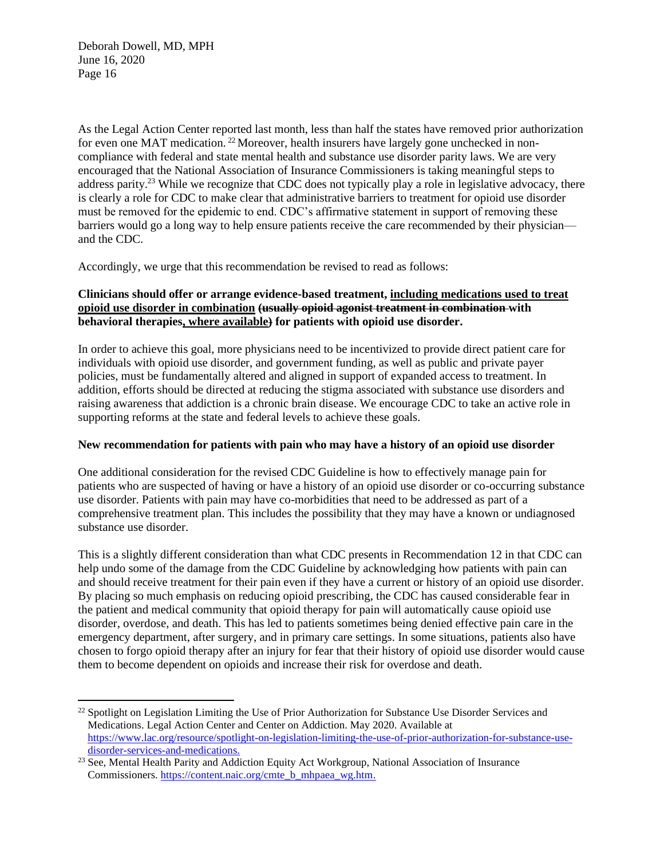As the Legal Action Center reported last month, less than half the states have removed prior authorization for even one MAT medication.<sup>22</sup> Moreover, health insurers have largely gone unchecked in noncompliance with federal and state mental health and substance use disorder parity laws. We are very encouraged that the National Association of Insurance Commissioners is taking meaningful steps to address parity.<sup>23</sup> While we recognize that CDC does not typically play a role in legislative advocacy, there is clearly a role for CDC to make clear that administrative barriers to treatment for opioid use disorder must be removed for the epidemic to end. CDC's affirmative statement in support of removing these barriers would go a long way to help ensure patients receive the care recommended by their physician and the CDC.

Accordingly, we urge that this recommendation be revised to read as follows:

# **Clinicians should offer or arrange evidence-based treatment, including medications used to treat opioid use disorder in combination (usually opioid agonist treatment in combination with behavioral therapies, where available) for patients with opioid use disorder.**

In order to achieve this goal, more physicians need to be incentivized to provide direct patient care for individuals with opioid use disorder, and government funding, as well as public and private payer policies, must be fundamentally altered and aligned in support of expanded access to treatment. In addition, efforts should be directed at reducing the stigma associated with substance use disorders and raising awareness that addiction is a chronic brain disease. We encourage CDC to take an active role in supporting reforms at the state and federal levels to achieve these goals.

## **New recommendation for patients with pain who may have a history of an opioid use disorder**

One additional consideration for the revised CDC Guideline is how to effectively manage pain for patients who are suspected of having or have a history of an opioid use disorder or co-occurring substance use disorder. Patients with pain may have co-morbidities that need to be addressed as part of a comprehensive treatment plan. This includes the possibility that they may have a known or undiagnosed substance use disorder.

This is a slightly different consideration than what CDC presents in Recommendation 12 in that CDC can help undo some of the damage from the CDC Guideline by acknowledging how patients with pain can and should receive treatment for their pain even if they have a current or history of an opioid use disorder. By placing so much emphasis on reducing opioid prescribing, the CDC has caused considerable fear in the patient and medical community that opioid therapy for pain will automatically cause opioid use disorder, overdose, and death. This has led to patients sometimes being denied effective pain care in the emergency department, after surgery, and in primary care settings. In some situations, patients also have chosen to forgo opioid therapy after an injury for fear that their history of opioid use disorder would cause them to become dependent on opioids and increase their risk for overdose and death.

<sup>&</sup>lt;sup>22</sup> Spotlight on Legislation Limiting the Use of Prior Authorization for Substance Use Disorder Services and Medications. Legal Action Center and Center on Addiction. May 2020. Available at [https://www.lac.org/resource/spotlight-on-legislation-limiting-the-use-of-prior-authorization-for-substance-use](https://www.lac.org/resource/spotlight-on-legislation-limiting-the-use-of-prior-authorization-for-substance-use-disorder-services-and-medications)[disorder-services-and-medications.](https://www.lac.org/resource/spotlight-on-legislation-limiting-the-use-of-prior-authorization-for-substance-use-disorder-services-and-medications)

<sup>&</sup>lt;sup>23</sup> See, Mental Health Parity and Addiction Equity Act Workgroup, National Association of Insurance Commissioners. [https://content.naic.org/cmte\\_b\\_mhpaea\\_wg.htm.](https://content.naic.org/cmte_b_mhpaea_wg.htm)